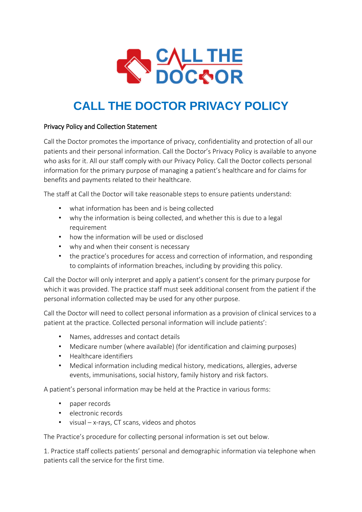

# **CALL THE DOCTOR PRIVACY POLICY**

## Privacy Policy and Collection Statement

Call the Doctor promotes the importance of privacy, confidentiality and protection of all our patients and their personal information. Call the Doctor's Privacy Policy is available to anyone who asks for it. All our staff comply with our Privacy Policy. Call the Doctor collects personal information for the primary purpose of managing a patient's healthcare and for claims for benefits and payments related to their healthcare.

The staff at Call the Doctor will take reasonable steps to ensure patients understand:

- what information has been and is being collected
- why the information is being collected, and whether this is due to a legal requirement
- how the information will be used or disclosed
- why and when their consent is necessary
- the practice's procedures for access and correction of information, and responding to complaints of information breaches, including by providing this policy.

Call the Doctor will only interpret and apply a patient's consent for the primary purpose for which it was provided. The practice staff must seek additional consent from the patient if the personal information collected may be used for any other purpose.

Call the Doctor will need to collect personal information as a provision of clinical services to a patient at the practice. Collected personal information will include patients':

- Names, addresses and contact details
- Medicare number (where available) (for identification and claiming purposes)
- Healthcare identifiers
- Medical information including medical history, medications, allergies, adverse events, immunisations, social history, family history and risk factors.

A patient's personal information may be held at the Practice in various forms:

- paper records
- electronic records
- visual x-rays, CT scans, videos and photos

The Practice's procedure for collecting personal information is set out below.

1. Practice staff collects patients' personal and demographic information via telephone when patients call the service for the first time.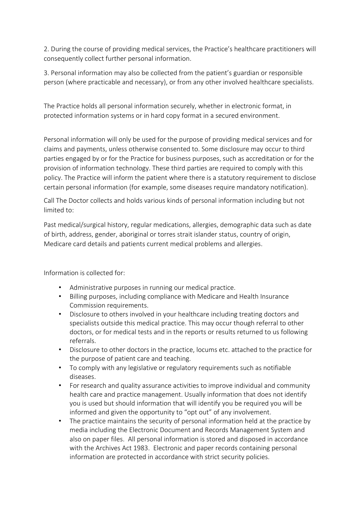2. During the course of providing medical services, the Practice's healthcare practitioners will consequently collect further personal information.

3. Personal information may also be collected from the patient's guardian or responsible person (where practicable and necessary), or from any other involved healthcare specialists.

The Practice holds all personal information securely, whether in electronic format, in protected information systems or in hard copy format in a secured environment.

Personal information will only be used for the purpose of providing medical services and for claims and payments, unless otherwise consented to. Some disclosure may occur to third parties engaged by or for the Practice for business purposes, such as accreditation or for the provision of information technology. These third parties are required to comply with this policy. The Practice will inform the patient where there is a statutory requirement to disclose certain personal information (for example, some diseases require mandatory notification).

Call The Doctor collects and holds various kinds of personal information including but not limited to:

Past medical/surgical history, regular medications, allergies, demographic data such as date of birth, address, gender, aboriginal or torres strait islander status, country of origin, Medicare card details and patients current medical problems and allergies.

Information is collected for:

- Administrative purposes in running our medical practice.
- Billing purposes, including compliance with Medicare and Health Insurance Commission requirements.
- Disclosure to others involved in your healthcare including treating doctors and specialists outside this medical practice. This may occur though referral to other doctors, or for medical tests and in the reports or results returned to us following referrals.
- Disclosure to other doctors in the practice, locums etc. attached to the practice for the purpose of patient care and teaching.
- To comply with any legislative or regulatory requirements such as notifiable diseases.
- For research and quality assurance activities to improve individual and community health care and practice management. Usually information that does not identify you is used but should information that will identify you be required you will be informed and given the opportunity to "opt out" of any involvement.
- The practice maintains the security of personal information held at the practice by media including the Electronic Document and Records Management System and also on paper files. All personal information is stored and disposed in accordance with the Archives Act 1983. Electronic and paper records containing personal information are protected in accordance with strict security policies.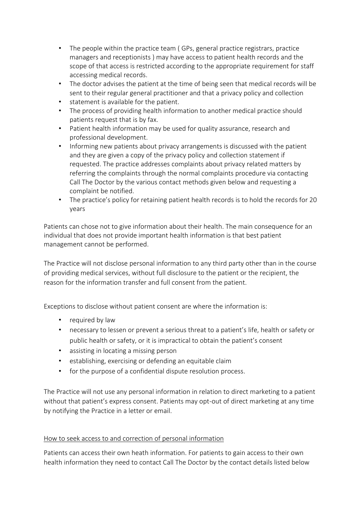- The people within the practice team (GPs, general practice registrars, practice managers and receptionists ) may have access to patient health records and the scope of that access is restricted according to the appropriate requirement for staff accessing medical records.
- The doctor advises the patient at the time of being seen that medical records will be sent to their regular general practitioner and that a privacy policy and collection
- statement is available for the patient.
- The process of providing health information to another medical practice should patients request that is by fax.
- Patient health information may be used for quality assurance, research and professional development.
- Informing new patients about privacy arrangements is discussed with the patient and they are given a copy of the privacy policy and collection statement if requested. The practice addresses complaints about privacy related matters by referring the complaints through the normal complaints procedure via contacting Call The Doctor by the various contact methods given below and requesting a complaint be notified.
- The practice's policy for retaining patient health records is to hold the records for 20 years

Patients can chose not to give information about their health. The main consequence for an individual that does not provide important health information is that best patient management cannot be performed.

The Practice will not disclose personal information to any third party other than in the course of providing medical services, without full disclosure to the patient or the recipient, the reason for the information transfer and full consent from the patient.

Exceptions to disclose without patient consent are where the information is:

- required by law
- necessary to lessen or prevent a serious threat to a patient's life, health or safety or public health or safety, or it is impractical to obtain the patient's consent
- assisting in locating a missing person
- establishing, exercising or defending an equitable claim
- for the purpose of a confidential dispute resolution process.

The Practice will not use any personal information in relation to direct marketing to a patient without that patient's express consent. Patients may opt-out of direct marketing at any time by notifying the Practice in a letter or email.

## How to seek access to and correction of personal information

Patients can access their own heath information. For patients to gain access to their own health information they need to contact Call The Doctor by the contact details listed below